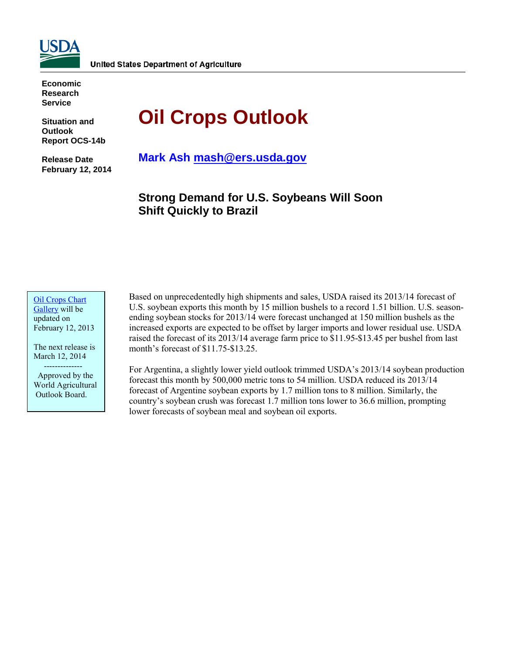

**Economic Research Service**

**Situation and Outlook Report OCS-14b** 

**Release Date February 12, 2014** 

# **Oil Crops Outlook**

**Mark Ash [mash@ers.usda.gov](mailto:mash@ers.usda.gov)**

**Strong Demand for U.S. Soybeans Will Soon Shift Quickly to Brazil** 

#### [Oil Crops](http://www.ers.usda.gov/data-products/oil-crops-chart-gallery.aspx) Chart [Gallery](http://www.ers.usda.gov/data-products/oil-crops-chart-gallery.aspx) will be updated on February 12, 2013

The next release is March 12, 2014 --------------

 Approved by the World Agricultural Outlook Board.

Based on unprecedentedly high shipments and sales, USDA raised its 2013/14 forecast of U.S. soybean exports this month by 15 million bushels to a record 1.51 billion. U.S. seasonending soybean stocks for 2013/14 were forecast unchanged at 150 million bushels as the increased exports are expected to be offset by larger imports and lower residual use. USDA raised the forecast of its 2013/14 average farm price to \$11.95-\$13.45 per bushel from last month's forecast of \$11.75-\$13.25.

For Argentina, a slightly lower yield outlook trimmed USDA's 2013/14 soybean production forecast this month by 500,000 metric tons to 54 million. USDA reduced its 2013/14 forecast of Argentine soybean exports by 1.7 million tons to 8 million. Similarly, the country's soybean crush was forecast 1.7 million tons lower to 36.6 million, prompting lower forecasts of soybean meal and soybean oil exports.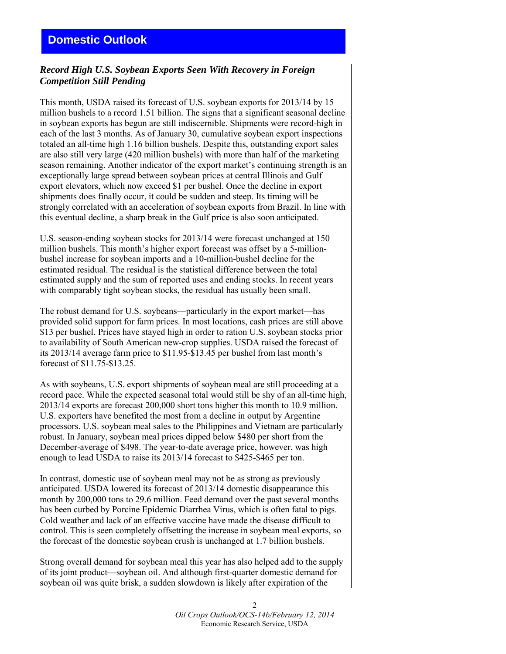## *Record High U.S. Soybean Exports Seen With Recovery in Foreign Competition Still Pending*

This month, USDA raised its forecast of U.S. soybean exports for 2013/14 by 15 million bushels to a record 1.51 billion. The signs that a significant seasonal decline in soybean exports has begun are still indiscernible. Shipments were record-high in each of the last 3 months. As of January 30, cumulative soybean export inspections totaled an all-time high 1.16 billion bushels. Despite this, outstanding export sales are also still very large (420 million bushels) with more than half of the marketing season remaining. Another indicator of the export market's continuing strength is an exceptionally large spread between soybean prices at central Illinois and Gulf export elevators, which now exceed \$1 per bushel. Once the decline in export shipments does finally occur, it could be sudden and steep. Its timing will be strongly correlated with an acceleration of soybean exports from Brazil. In line with this eventual decline, a sharp break in the Gulf price is also soon anticipated.

U.S. season-ending soybean stocks for 2013/14 were forecast unchanged at 150 million bushels. This month's higher export forecast was offset by a 5-millionbushel increase for soybean imports and a 10-million-bushel decline for the estimated residual. The residual is the statistical difference between the total estimated supply and the sum of reported uses and ending stocks. In recent years with comparably tight soybean stocks, the residual has usually been small.

The robust demand for U.S. soybeans—particularly in the export market—has provided solid support for farm prices. In most locations, cash prices are still above \$13 per bushel. Prices have stayed high in order to ration U.S. soybean stocks prior to availability of South American new-crop supplies. USDA raised the forecast of its 2013/14 average farm price to \$11.95-\$13.45 per bushel from last month's forecast of \$11.75-\$13.25.

As with soybeans, U.S. export shipments of soybean meal are still proceeding at a record pace. While the expected seasonal total would still be shy of an all-time high, 2013/14 exports are forecast 200,000 short tons higher this month to 10.9 million. U.S. exporters have benefited the most from a decline in output by Argentine processors. U.S. soybean meal sales to the Philippines and Vietnam are particularly robust. In January, soybean meal prices dipped below \$480 per short from the December-average of \$498. The year-to-date average price, however, was high enough to lead USDA to raise its 2013/14 forecast to \$425-\$465 per ton.

In contrast, domestic use of soybean meal may not be as strong as previously anticipated. USDA lowered its forecast of 2013/14 domestic disappearance this month by 200,000 tons to 29.6 million. Feed demand over the past several months has been curbed by Porcine Epidemic Diarrhea Virus, which is often fatal to pigs. Cold weather and lack of an effective vaccine have made the disease difficult to control. This is seen completely offsetting the increase in soybean meal exports, so the forecast of the domestic soybean crush is unchanged at 1.7 billion bushels.

Strong overall demand for soybean meal this year has also helped add to the supply of its joint product—soybean oil. And although first-quarter domestic demand for soybean oil was quite brisk, a sudden slowdown is likely after expiration of the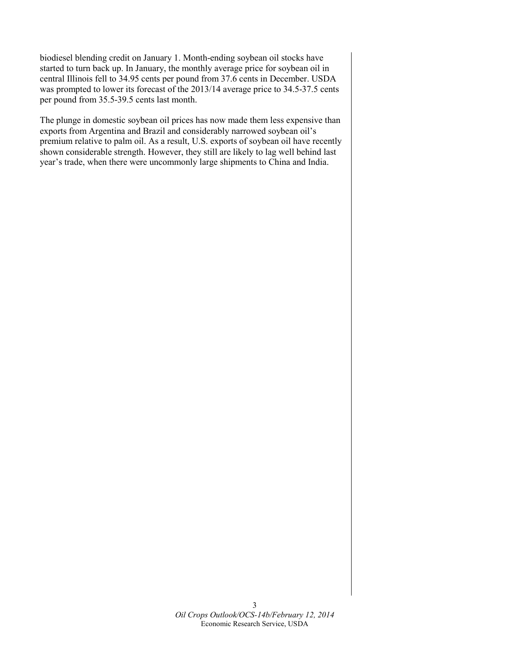biodiesel blending credit on January 1. Month-ending soybean oil stocks have started to turn back up. In January, the monthly average price for soybean oil in central Illinois fell to 34.95 cents per pound from 37.6 cents in December. USDA was prompted to lower its forecast of the 2013/14 average price to 34.5-37.5 cents per pound from 35.5-39.5 cents last month.

The plunge in domestic soybean oil prices has now made them less expensive than exports from Argentina and Brazil and considerably narrowed soybean oil's premium relative to palm oil. As a result, U.S. exports of soybean oil have recently shown considerable strength. However, they still are likely to lag well behind last year's trade, when there were uncommonly large shipments to China and India.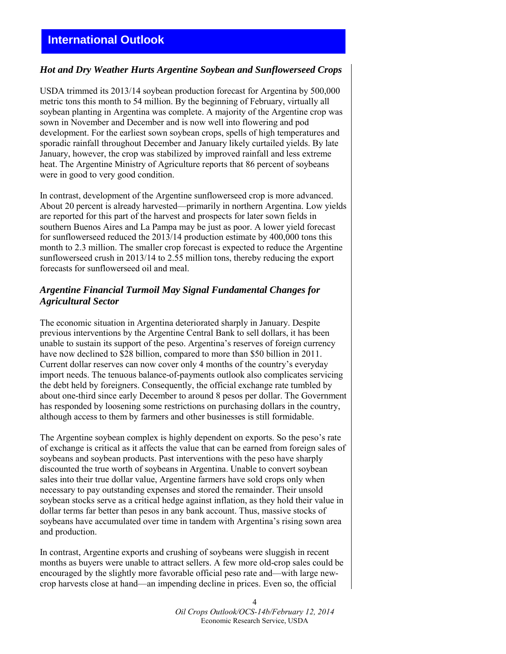## **International Outlook**

## *Hot and Dry Weather Hurts Argentine Soybean and Sunflowerseed Crops*

USDA trimmed its 2013/14 soybean production forecast for Argentina by 500,000 metric tons this month to 54 million. By the beginning of February, virtually all soybean planting in Argentina was complete. A majority of the Argentine crop was sown in November and December and is now well into flowering and pod development. For the earliest sown soybean crops, spells of high temperatures and sporadic rainfall throughout December and January likely curtailed yields. By late January, however, the crop was stabilized by improved rainfall and less extreme heat. The Argentine Ministry of Agriculture reports that 86 percent of soybeans were in good to very good condition.

In contrast, development of the Argentine sunflowerseed crop is more advanced. About 20 percent is already harvested—primarily in northern Argentina. Low yields are reported for this part of the harvest and prospects for later sown fields in southern Buenos Aires and La Pampa may be just as poor. A lower yield forecast for sunflowerseed reduced the 2013/14 production estimate by 400,000 tons this month to 2.3 million. The smaller crop forecast is expected to reduce the Argentine sunflowerseed crush in 2013/14 to 2.55 million tons, thereby reducing the export forecasts for sunflowerseed oil and meal.

## *Argentine Financial Turmoil May Signal Fundamental Changes for Agricultural Sector*

The economic situation in Argentina deteriorated sharply in January. Despite previous interventions by the Argentine Central Bank to sell dollars, it has been unable to sustain its support of the peso. Argentina's reserves of foreign currency have now declined to \$28 billion, compared to more than \$50 billion in 2011. Current dollar reserves can now cover only 4 months of the country's everyday import needs. The tenuous balance-of-payments outlook also complicates servicing the debt held by foreigners. Consequently, the official exchange rate tumbled by about one-third since early December to around 8 pesos per dollar. The Government has responded by loosening some restrictions on purchasing dollars in the country, although access to them by farmers and other businesses is still formidable.

The Argentine soybean complex is highly dependent on exports. So the peso's rate of exchange is critical as it affects the value that can be earned from foreign sales of soybeans and soybean products. Past interventions with the peso have sharply discounted the true worth of soybeans in Argentina. Unable to convert soybean sales into their true dollar value, Argentine farmers have sold crops only when necessary to pay outstanding expenses and stored the remainder. Their unsold soybean stocks serve as a critical hedge against inflation, as they hold their value in dollar terms far better than pesos in any bank account. Thus, massive stocks of soybeans have accumulated over time in tandem with Argentina's rising sown area and production.

In contrast, Argentine exports and crushing of soybeans were sluggish in recent months as buyers were unable to attract sellers. A few more old-crop sales could be encouraged by the slightly more favorable official peso rate and—with large newcrop harvests close at hand—an impending decline in prices. Even so, the official

> 4 *Oil Crops Outlook/OCS-14b/February 12, 2014*  Economic Research Service, USDA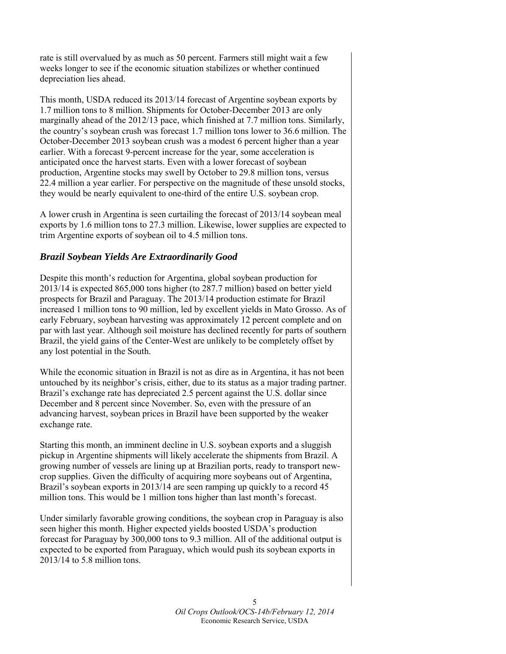rate is still overvalued by as much as 50 percent. Farmers still might wait a few weeks longer to see if the economic situation stabilizes or whether continued depreciation lies ahead.

This month, USDA reduced its 2013/14 forecast of Argentine soybean exports by 1.7 million tons to 8 million. Shipments for October-December 2013 are only marginally ahead of the 2012/13 pace, which finished at 7.7 million tons. Similarly, the country's soybean crush was forecast 1.7 million tons lower to 36.6 million. The October-December 2013 soybean crush was a modest 6 percent higher than a year earlier. With a forecast 9-percent increase for the year, some acceleration is anticipated once the harvest starts. Even with a lower forecast of soybean production, Argentine stocks may swell by October to 29.8 million tons, versus 22.4 million a year earlier. For perspective on the magnitude of these unsold stocks, they would be nearly equivalent to one-third of the entire U.S. soybean crop.

A lower crush in Argentina is seen curtailing the forecast of 2013/14 soybean meal exports by 1.6 million tons to 27.3 million. Likewise, lower supplies are expected to trim Argentine exports of soybean oil to 4.5 million tons.

## *Brazil Soybean Yields Are Extraordinarily Good*

Despite this month's reduction for Argentina, global soybean production for 2013/14 is expected 865,000 tons higher (to 287.7 million) based on better yield prospects for Brazil and Paraguay. The 2013/14 production estimate for Brazil increased 1 million tons to 90 million, led by excellent yields in Mato Grosso. As of early February, soybean harvesting was approximately 12 percent complete and on par with last year. Although soil moisture has declined recently for parts of southern Brazil, the yield gains of the Center-West are unlikely to be completely offset by any lost potential in the South.

While the economic situation in Brazil is not as dire as in Argentina, it has not been untouched by its neighbor's crisis, either, due to its status as a major trading partner. Brazil's exchange rate has depreciated 2.5 percent against the U.S. dollar since December and 8 percent since November. So, even with the pressure of an advancing harvest, soybean prices in Brazil have been supported by the weaker exchange rate.

Starting this month, an imminent decline in U.S. soybean exports and a sluggish pickup in Argentine shipments will likely accelerate the shipments from Brazil. A growing number of vessels are lining up at Brazilian ports, ready to transport newcrop supplies. Given the difficulty of acquiring more soybeans out of Argentina, Brazil's soybean exports in 2013/14 are seen ramping up quickly to a record 45 million tons. This would be 1 million tons higher than last month's forecast.

Under similarly favorable growing conditions, the soybean crop in Paraguay is also seen higher this month. Higher expected yields boosted USDA's production forecast for Paraguay by 300,000 tons to 9.3 million. All of the additional output is expected to be exported from Paraguay, which would push its soybean exports in 2013/14 to 5.8 million tons.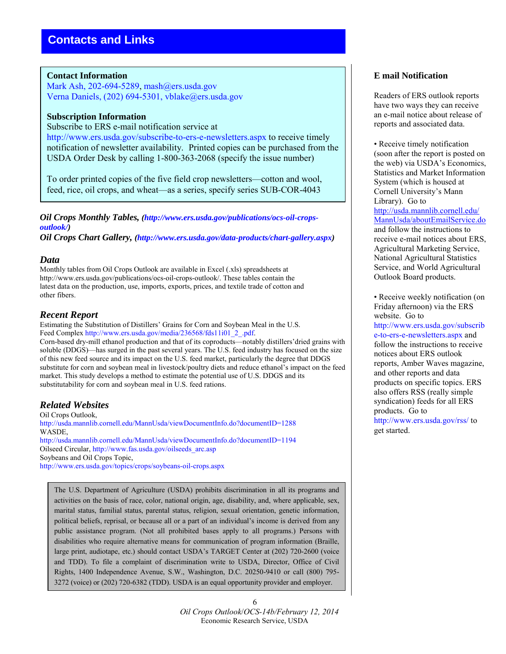### **Contact Information**

Mark Ash, 202-694-5289, mash@ers.usda.gov Verna Daniels, (202) 694-5301, vblake@ers.usda.gov

### **Subscription Information**

Subscribe to ERS e-mail notification service at http://www.ers.usda.gov/subscribe-to-ers-e-newsletters.aspx to receive timely notification of newsletter availability. Printed copies can be purchased from the USDA Order Desk by calling 1-800-363-2068 (specify the issue number)

To order printed copies of the five field crop newsletters—cotton and wool, feed, rice, oil crops, and wheat—as a series, specify series SUB-COR-4043

*Oil Crops Monthly Tables, (http://www.ers.usda.gov/publications/ocs-oil-cropsoutlook/)* 

*Oil Crops Chart Gallery, (http://www.ers.usda.gov/data-products/chart-gallery.aspx)* 

## *Data*

Monthly tables from Oil Crops Outlook are available in Excel (.xls) spreadsheets at http://www.ers.usda.gov/publications/ocs-oil-crops-outlook/. These tables contain the latest data on the production, use, imports, exports, prices, and textile trade of cotton and other fibers.

## *Recent Report*

Estimating the Substitution of Distillers' Grains for Corn and Soybean Meal in the U.S. Feed Complex http://www.ers.usda.gov/media/236568/fds11i01\_2\_.pdf.

Corn-based dry-mill ethanol production and that of its coproducts—notably distillers'dried grains with soluble (DDGS)—has surged in the past several years. The U.S. feed industry has focused on the size of this new feed source and its impact on the U.S. feed market, particularly the degree that DDGS substitute for corn and soybean meal in livestock/poultry diets and reduce ethanol's impact on the feed market. This study develops a method to estimate the potential use of U.S. DDGS and its substitutability for corn and soybean meal in U.S. feed rations.

## *Related Websites*

Oil Crops Outlook, http://usda.mannlib.cornell.edu/MannUsda/viewDocumentInfo.do?documentID=1288 WASDE, http://usda.mannlib.cornell.edu/MannUsda/viewDocumentInfo.do?documentID=1194 Oilseed Circular, http://www.fas.usda.gov/oilseeds\_arc.asp Soybeans and Oil Crops Topic, http://www.ers.usda.gov/topics/crops/soybeans-oil-crops.aspx

The U.S. Department of Agriculture (USDA) prohibits discrimination in all its programs and activities on the basis of race, color, national origin, age, disability, and, where applicable, sex, marital status, familial status, parental status, religion, sexual orientation, genetic information, political beliefs, reprisal, or because all or a part of an individual's income is derived from any public assistance program. (Not all prohibited bases apply to all programs.) Persons with disabilities who require alternative means for communication of program information (Braille, large print, audiotape, etc.) should contact USDA's TARGET Center at (202) 720-2600 (voice and TDD). To file a complaint of discrimination write to USDA, Director, Office of Civil Rights, 1400 Independence Avenue, S.W., Washington, D.C. 20250-9410 or call (800) 795- 3272 (voice) or (202) 720-6382 (TDD). USDA is an equal opportunity provider and employer.

## **E mail Notification**

Readers of ERS outlook reports have two ways they can receive an e-mail notice about release of reports and associated data.

• Receive timely notification (soon after the report is posted on the web) via USDA's Economics, Statistics and Market Information System (which is housed at Cornell University's Mann Library). Go to [http://usda.mannlib.cornell.edu/](http://usda.mannlib.cornell.edu/MannUsda/aboutEmailService.do) [MannUsda/aboutEmailService.do](http://usda.mannlib.cornell.edu/MannUsda/aboutEmailService.do) and follow the instructions to receive e-mail notices about ERS, Agricultural Marketing Service, National Agricultural Statistics Service, and World Agricultural Outlook Board products.

• Receive weekly notification (on Friday afternoon) via the ERS website. Go to http://www.ers.usda.gov/subscrib e-to-ers-e-newsletters.aspx and follow the instructions to receive notices about ERS outlook reports, Amber Waves magazine, and other reports and data products on specific topics. ERS also offers RSS (really simple syndication) feeds for all ERS products. Go to http://www.ers.usda.gov/rss/ to get started.

6 *Oil Crops Outlook*/*OCS-14b/February 12, 2014* Economic Research Service, USDA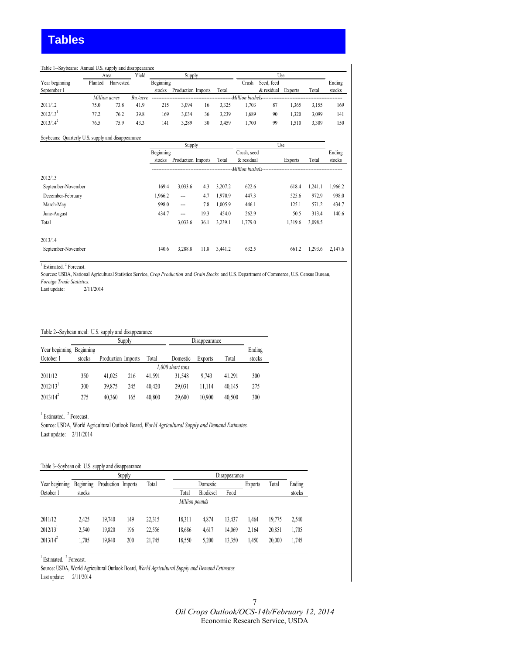#### Table 1--Soybeans: Annual U.S. supply and disappearance

|                |         | Area          | Yield      | Supply    |                    |    | Use   |       |                                       |                |       |        |
|----------------|---------|---------------|------------|-----------|--------------------|----|-------|-------|---------------------------------------|----------------|-------|--------|
| Year beginning | Planted | Harvested     |            | Beginning |                    |    |       | Crush | Seed, feed                            |                |       | Ending |
| September 1    |         |               |            | stocks    | Production Imports |    | Total |       | & residual                            | <b>Exports</b> | Total | stocks |
|                |         | Million acres | $Bu$ /acre |           |                    |    |       |       | Million bushels---------------------- |                |       |        |
| 2011/12        | 75.0    | 73.8          | 41.9       | 215       | 3.094              | 16 | 3.325 | 1.703 | 87                                    | 1.365          | 3.155 | 169    |
| 2012/13        | 77.2    | 76.2          | 39.8       | 169       | 3.034              | 36 | 3.239 | .689  | 90                                    | 1.320          | 3.099 | 141    |
| $2013/14^2$    | 76.5    | 75.9          | 43.3       | 141       | 3.289              | 30 | 3.459 | .700  | 99                                    | 1.510          | 3.309 | 150    |

#### Soybeans: Quarterly U.S. supply and disappearance

|        |                                    |                    |                              |             | Use                  |         |                         |
|--------|------------------------------------|--------------------|------------------------------|-------------|----------------------|---------|-------------------------|
|        |                                    |                    |                              | Crush, seed |                      |         | Ending                  |
| stocks |                                    |                    | Total                        | & residual  | <b>Exports</b>       | Total   | stocks                  |
|        |                                    |                    |                              |             |                      |         |                         |
|        |                                    |                    |                              |             |                      |         |                         |
|        | 3,033.6                            | 4.3                | 3,207.2                      | 622.6       | 618.4                | 1,241.1 | 1,966.2                 |
|        | $\overline{\phantom{a}}$           | 4.7                | 1,970.9                      | 447.3       | 525.6                | 972.9   | 998.0                   |
|        | $\cdots$                           | 7.8                | 1,005.9                      | 446.1       | 125.1                | 571.2   | 434.7                   |
|        | $\overline{a}$                     | 19.3               | 454.0                        | 262.9       | 50.5                 | 313.4   | 140.6                   |
|        | 3,033.6                            | 36.1               | 3.239.1                      | 1,779.0     | 1,319.6              | 3,098.5 |                         |
|        |                                    |                    |                              |             |                      |         |                         |
|        | 3,288.8                            | 11.8               | 3,441.2                      | 632.5       | 661.2                | 1,293.6 | 2,147.6                 |
|        | 169.4<br>1,966.2<br>434.7<br>140.6 | Beginning<br>998.0 | Supply<br>Production Imports |             | -Million bushels---- |         | ----------------------- |

<sup>1</sup> Estimated.<sup>2</sup> Forecast.

Sources: USDA, National Agricultural Statistics Service, *Crop Production* and *Grain Stocks* and U.S. Department of Commerce, U.S. Census Bureau, *Foreign Trade Statistics.*

Last update: 2/11/2014

#### Table 2--Soybean meal: U.S. supply and disappearance

|                          |        |                    | Supply           |        | Disappearance |                |        |        |  |  |  |
|--------------------------|--------|--------------------|------------------|--------|---------------|----------------|--------|--------|--|--|--|
| Year beginning Beginning |        |                    |                  |        |               |                |        | Ending |  |  |  |
| October 1                | stocks | Production Imports |                  | Total  | Domestic      | <b>Exports</b> | Total  | stocks |  |  |  |
|                          |        |                    | 1,000 short tons |        |               |                |        |        |  |  |  |
| 2011/12                  | 350    | 41.025             | 216              | 41.591 | 31.548        | 9.743          | 41.291 | 300    |  |  |  |
| $2012/13$ <sup>1</sup>   | 300    | 39.875             | 245              | 40.420 | 29.031        | 11.114         | 40.145 | 275    |  |  |  |
| $2013/14^2$              | 275    | 40.360             | 165              | 40.800 | 29.600        | 10.900         | 40.500 | 300    |  |  |  |

<sup>1</sup> Estimated. <sup>2</sup> Forecast.

Source: USDA, World Agricultural Outlook Board, *World Agricultural Supply and Demand Estimates.* Last update: 2/11/2014

#### Table 3--Soybean oil: U.S. supply and disappearance

|                |           |                    | Supply |        |                |           |        |                |        |        |
|----------------|-----------|--------------------|--------|--------|----------------|-----------|--------|----------------|--------|--------|
| Year beginning | Beginning | Production Imports |        | Total  |                | Domestic  |        | <b>Exports</b> | Total  | Ending |
| October 1      | stocks    |                    |        |        | Total          | Biodiesel | Food   |                |        | stocks |
|                |           |                    |        |        | Million pounds |           |        |                |        |        |
| 2011/12        | 2.425     | 19.740             | 149    | 22,315 | 18,311         | 4.874     | 13.437 | 1.464          | 19.775 | 2,540  |
| 2012/13        | 2.540     | 19,820             | 196    | 22,556 | 18,686         | 4.617     | 14.069 | 2.164          | 20,851 | 1,705  |
| $2013/14^2$    | 1.705     | 19,840             | 200    | 21,745 | 18,550         | 5,200     | 13,350 | 1,450          | 20.000 | 1,745  |

<sup>1</sup> Estimated. <sup>2</sup> Forecast.

Source: USDA, World Agricultural Outlook Board, *World Agricultural Supply and Demand Estimates.*

Last update: 2/11/2014

7 *Oil Crops Outlook/OCS-14b/February 12, 2014*  Economic Research Service, USDA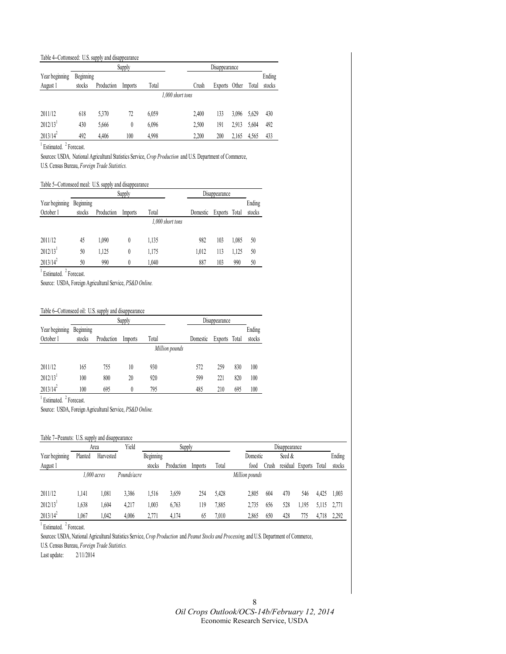#### Table 4--Cottonseed: U.S. supply and disappearance

|                |           |            | Supply  |       |                  | Disappearance |         |       |       |        |
|----------------|-----------|------------|---------|-------|------------------|---------------|---------|-------|-------|--------|
| Year beginning | Beginning |            |         |       |                  |               |         |       |       | Ending |
| August 1       | stocks    | Production | Imports | Total |                  | Crush         | Exports | Other | Total | stocks |
|                |           |            |         |       | 1.000 short tons |               |         |       |       |        |
| 2011/12        | 618       | 5.370      | 72      | 6,059 |                  | 2.400         | 133     | 3.096 | 5.629 | 430    |
| 2012/13        | 430       | 5,666      |         | 6,096 |                  | 2.500         | 191     | 2.913 | 5.604 | 492    |
| $2013/14^2$    | 492       | 4.406      | 100     | 4.998 |                  | 2.200         | 200     | 2,165 | 4,565 | 433    |

<sup>1</sup> Estimated. <sup>2</sup> Forecast.

Sources: USDA*,* National Agricultural Statistics Service, *Crop Production* and U.S. Department of Commerce, U.S. Census Bureau, *Foreign Trade Statistics.*

#### Table 5--Cottonseed meal: U.S. supply and disappearance

|                        |           |            | Supply   |                  | Disappearance |                |       |        |
|------------------------|-----------|------------|----------|------------------|---------------|----------------|-------|--------|
| Year beginning         | Beginning |            |          |                  |               |                |       | Ending |
| October 1              | stocks    | Production | Imports  | Total            | Domestic      | <b>Exports</b> | Total | stocks |
|                        |           |            |          | 1,000 short tons |               |                |       |        |
| 2011/12                | 45        | 1.090      | $\theta$ | 1,135            | 982           | 103            | 1,085 | 50     |
| $2012/13$ <sup>1</sup> | 50        | 1,125      | 0        | 1,175            | 1.012         | 113            | 1,125 | 50     |
| $2013/14^2$            | 50        | 990        | 0        | 1.040            | 887           | 103            | 990   | 50     |

<sup>1</sup> Estimated. <sup>2</sup> Forecast.

Source: USDA, Foreign Agricultural Service, *PS&D Online.*

#### Table 6--Cottonseed oil: U.S. supply and disappearance

|                        |           |            | Supply  |                |          | Disappearance  |       |        |
|------------------------|-----------|------------|---------|----------------|----------|----------------|-------|--------|
| Year beginning         | Beginning |            |         |                |          |                |       | Ending |
| October 1              | stocks    | Production | Imports | Total          | Domestic | <b>Exports</b> | Total | stocks |
|                        |           |            |         | Million pounds |          |                |       |        |
|                        |           |            |         |                |          |                |       |        |
| 2011/12                | 165       | 755        | 10      | 930            | 572      | 259            | 830   | 100    |
| $2012/13$ <sup>1</sup> | 100       | 800        | 20      | 920            | 599      | 221            | 820   | 100    |
| $2013/14^2$            | 100       | 695        | 0       | 795            | 485      | 210            | 695   | 100    |

<sup>1</sup> Estimated. <sup>2</sup> Forecast.

Source: USDA, Foreign Agricultural Service, *PS&D Online.*

#### Table 7--Peanuts: U.S. supply and disappearance

|                |         | Area          | Yield       |           | Supply     |         |       | Disappearance  |       |          |                |       |        |
|----------------|---------|---------------|-------------|-----------|------------|---------|-------|----------------|-------|----------|----------------|-------|--------|
| Year beginning | Planted | Harvested     |             | Beginning |            |         |       | Domestic       |       | Seed &   |                |       | Ending |
| August 1       |         |               |             | stocks    | Production | Imports | Total | food           | Crush | residual | <b>Exports</b> | Total | stocks |
|                |         | $1.000$ acres | Pounds/acre |           |            |         |       | Million pounds |       |          |                |       |        |
|                |         |               |             |           |            |         |       |                |       |          |                |       |        |
| 2011/12        | 1.141   | 1,081         | 3.386       | .516      | 3,659      | 254     | 5,428 | 2,805          | 604   | 470      | 546            | 4.425 | 1,003  |
| 2012/13        | .638    | .604          | 4.217       | ,003      | 6,763      | 119     | 7,885 | 2,735          | 656   | 528      | . 195          | 5.115 | 2.771  |
| $2013/14^2$    | .067    | .042          | 4,006       | 2,771     | 4,174      | 65      | 7.010 | 2,865          | 650   | 428      | 775            | 4,718 | 2,292  |

<sup>1</sup> Estimated. <sup>2</sup> Forecast.

Sources: USDA, National Agricultural Statistics Service, *Crop Production* and *Peanut Stocks and Processing,* and U.S. Department of Commerce,

U.S. Census Bureau, *Foreign Trade Statistics.*

Last update: 2/11/2014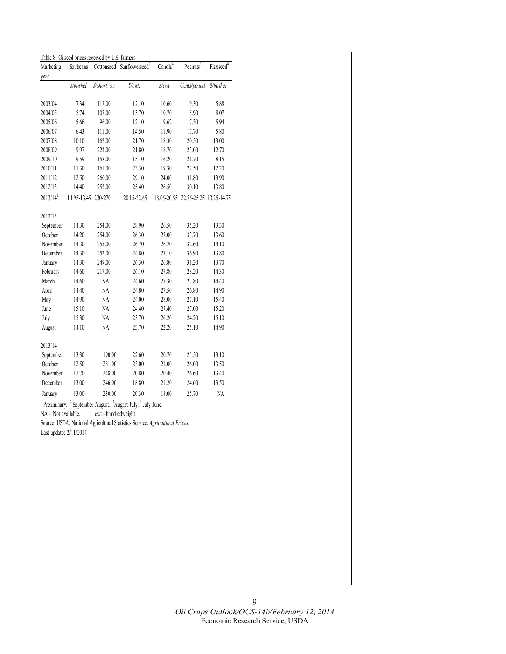| Marketing              | Soybeans <sup>2</sup> |              | Cottonseed <sup>3</sup> Sunflowerseed <sup>2</sup> | Canola <sup>4</sup> | Peanuts <sup>3</sup>                | Flaxseed <sup>4</sup> |
|------------------------|-----------------------|--------------|----------------------------------------------------|---------------------|-------------------------------------|-----------------------|
| year                   |                       |              |                                                    |                     |                                     |                       |
|                        | \$/bushel             | \$/short ton | \$/cwt.                                            | \$/cwt.             | Cents/pound                         | \$/bushel             |
|                        |                       |              |                                                    |                     |                                     |                       |
| 2003/04                | 7.34                  | 117.00       | 12.10                                              | 10.60               | 19.30                               | 5.88                  |
| 2004/05                | 5.74                  | 107.00       | 13.70                                              | 10.70               | 18.90                               | 8.07                  |
| 2005/06                | 5.66                  | 96.00        | 12.10                                              | 9.62                | 17.30                               | 5.94                  |
| 2006/07                | 6.43                  | 111.00       | 14.50                                              | 11.90               | 17.70                               | 5.80                  |
| 2007/08                | 10.10                 | 162.00       | 21.70                                              | 18.30               | 20.50                               | 13.00                 |
| 2008/09                | 9.97                  | 223.00       | 21.80                                              | 18.70               | 23.00                               | 12.70                 |
| 2009/10                | 9.59                  | 158.00       | 15.10                                              | 16.20               | 21.70                               | 8.15                  |
| 2010/11                | 11.30                 | 161.00       | 23.30                                              | 19.30               | 22.50                               | 12.20                 |
| 2011/12                | 12.50                 | 260.00       | 29.10                                              | 24.00               | 31.80                               | 13.90                 |
| 2012/13                | 14.40                 | 252.00       | 25.40                                              | 26.50               | 30.10                               | 13.80                 |
| $2013/14$ <sup>1</sup> | 11.95-13.45 230-270   |              | 20.15-22.65                                        |                     | 18.05-20.55 22.75-25.25 13.25-14.75 |                       |
|                        |                       |              |                                                    |                     |                                     |                       |
| 2012/13                |                       |              |                                                    |                     |                                     |                       |
| September              | 14.30                 | 254.00       | 28.90                                              | 26.50               | 35.20                               | 13.30                 |
| October                | 14.20                 | 254.00       | 26.30                                              | 27.00               | 33.70                               | 13.60                 |
| November               | 14.30                 | 255.00       | 26.70                                              | 26.70               | 32.60                               | 14.10                 |
| December               | 14.30                 | 252.00       | 24.80                                              | 27.10               | 36.90                               | 13.80                 |
| January                | 14.30                 | 249.00       | 26.30                                              | 26.80               | 31.20                               | 13.70                 |
| February               | 14.60                 | 217.00       | 26.10                                              | 27.80               | 28.20                               | 14.30                 |
| March                  | 14.60                 | NA           | 24.60                                              | 27.30               | 27.80                               | 14.40                 |
| April                  | 14.40                 | NA           | 24.80                                              | 27.50               | 26.80                               | 14.90                 |
| May                    | 14.90                 | NA           | 24.00                                              | 28.00               | 27.10                               | 15.40                 |
| June                   | 15.10                 | NA           | 24.40                                              | 27.40               | 27.00                               | 15.20                 |
| July                   | 15.30                 | NA           | 23.70                                              | 26.20               | 24.20                               | 15.10                 |
| August                 | 14.10                 | NA           | 23.70                                              | 22.20               | 25.10                               | 14.90                 |
|                        |                       |              |                                                    |                     |                                     |                       |
| 2013/14                |                       |              |                                                    |                     |                                     |                       |
| September              | 13.30                 | 190.00       | 22.60                                              | 20.70               | 25.50                               | 13.10                 |
| October                | 12.50                 | 281.00       | 23.00                                              | 21.00               | 26.00                               | 13.50                 |
| November               | 12.70                 | 248.00       | 20.80                                              | 20.40               | 26.60                               | 13.40                 |
| December               | 13.00                 | 246.00       | 18.80                                              | 21.20               | 24.60                               | 13.50                 |
| January <sup>1</sup>   | 13.00                 | 230.00       | 20.30                                              | 18.00               | 25.70                               | <b>NA</b>             |

Table 8--Oilseed prices received by U.S. farmers

<sup>1</sup> Preliminary. <sup>2</sup> September-August. <sup>3</sup> August-July. <sup>4</sup> July-June.

NA = Not available. cwt.=hundredweight.

Source: USDA, National Agricultural Statistics Service, *Agricultural Prices.* 

Last update: 2/11/2014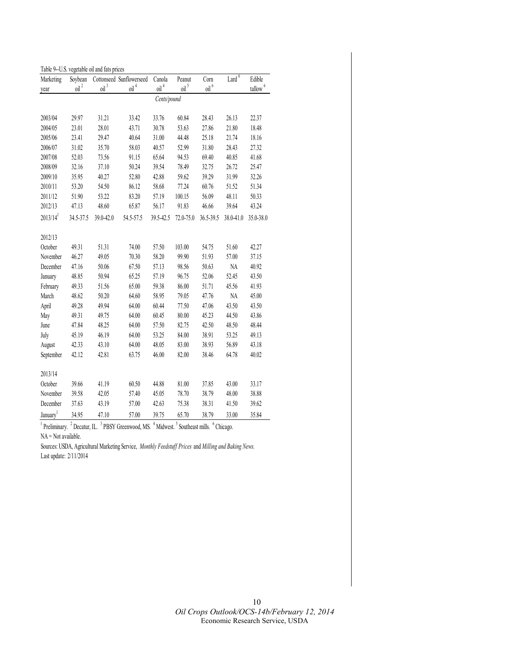| Marketing              | Soybean          |                    | Cottonseed Sunflowerseed            | Canola           | Peanut           | Corn             | Lard <sup>6</sup> | Edible                 |
|------------------------|------------------|--------------------|-------------------------------------|------------------|------------------|------------------|-------------------|------------------------|
| year                   | oil <sup>2</sup> | $oil$ <sup>3</sup> | $\left[$ oil $\right]$ <sup>4</sup> | oil <sup>4</sup> | oil <sup>5</sup> | oil <sup>6</sup> |                   | $t$ allow <sup>6</sup> |
|                        |                  |                    |                                     | Cents/pound      |                  |                  |                   |                        |
| 2003/04                | 29.97            | 31.21              | 33.42                               | 33.76            | 60.84            | 28.43            | 26.13             | 22.37                  |
| 2004/05                | 23.01            | 28.01              | 43.71                               | 30.78            | 53.63            | 27.86            | 21.80             | 18.48                  |
| 2005/06                | 23.41            | 29.47              | 40.64                               | 31.00            | 44.48            | 25.18            | 21.74             | 18.16                  |
| 2006/07                | 31.02            | 35.70              | 58.03                               | 40.57            | 52.99            | 31.80            | 28.43             | 27.32                  |
| 2007/08                | 52.03            | 73.56              | 91.15                               | 65.64            | 94.53            | 69.40            | 40.85             | 41.68                  |
| 2008/09                | 32.16            | 37.10              | 50.24                               | 39.54            | 78.49            | 32.75            | 26.72             | 25.47                  |
| 2009/10                | 35.95            | 40.27              | 52.80                               | 42.88            | 59.62            | 39.29            | 31.99             | 32.26                  |
| 2010/11                | 53.20            | 54.50              | 86.12                               | 58.68            | 77.24            | 60.76            | 51.52             | 51.34                  |
| 2011/12                | 51.90            | 53.22              | 83.20                               | 57.19            | 100.15           | 56.09            | 48.11             | 50.33                  |
| 2012/13                | 47.13            | 48.60              | 65.87                               | 56.17            | 91.83            | 46.66            | 39.64             | 43.24                  |
| $2013/14$ <sup>1</sup> | 34.5-37.5        | 39.0-42.0          | 54.5-57.5                           | 39.5-42.5        | 72.0-75.0        | 36.5-39.5        | 38.0-41.0         | 35.0-38.0              |
| 2012/13                |                  |                    |                                     |                  |                  |                  |                   |                        |
| October                | 49.31            | 51.31              | 74.00                               | 57.50            | 103.00           | 54.75            | 51.60             | 42.27                  |
| November               | 46.27            | 49.05              | 70.30                               | 58.20            | 99.90            | 51.93            | 57.00             | 37.15                  |
| December               | 47.16            | 50.06              | 67.50                               | 57.13            | 98.56            | 50.63            | NA                | 40.92                  |
| January                | 48.85            | 50.94              | 65.25                               | 57.19            | 96.75            | 52.06            | 52.45             | 43.50                  |
| February               | 49.33            | 51.56              | 65.00                               | 59.38            | 86.00            | 51.71            | 45.56             | 41.93                  |
| March                  | 48.62            | 50.20              | 64.60                               | 58.95            | 79.05            | 47.76            | <b>NA</b>         | 45.00                  |
| April                  | 49.28            | 49.94              | 64.00                               | 60.44            | 77.50            | 47.06            | 43.50             | 43.50                  |
| May                    | 49.31            | 49.75              | 64.00                               | 60.45            | 80.00            | 45.23            | 44.50             | 43.86                  |
| June                   | 47.84            | 48.25              | 64.00                               | 57.50            | 82.75            | 42.50            | 48.50             | 48.44                  |
| July                   | 45.19            | 46.19              | 64.00                               | 53.25            | 84.00            | 38.91            | 53.25             | 49.13                  |
| August                 | 42.33            | 43.10              | 64.00                               | 48.05            | 83.00            | 38.93            | 56.89             | 43.18                  |
| September              | 42.12            | 42.81              | 63.75                               | 46.00            | 82.00            | 38.46            | 64.78             | 40.02                  |
| 2013/14                |                  |                    |                                     |                  |                  |                  |                   |                        |
| October                | 39.66            | 41.19              | 60.50                               | 44.88            | 81.00            | 37.85            | 43.00             | 33.17                  |
| November               | 39.58            | 42.05              | 57.40                               | 45.05            | 78.70            | 38.79            | 48.00             | 38.88                  |
| December               | 37.63            | 43.19              | 57.00                               | 42.63            | 75.38            | 38.31            | 41.50             | 39.62                  |
| January <sup>1</sup>   | 34.95            | 47.10              | 57.00                               | 39.75            | 65.70            | 38.79            | 33.00             | 35.84                  |

<sup>1</sup> Preliminary. <sup>2</sup> Decatur, IL. <sup>3</sup> PBSY Greenwood, MS. <sup>4</sup> Midwest. <sup>5</sup> Southeast mills. <sup>6</sup> Chicago.  $NA = Not available.$ 

Sources: USDA, Agricultural Marketing Service, *Monthly Feedstuff Prices* and *Milling and Baking News.*  Last update: 2/11/2014